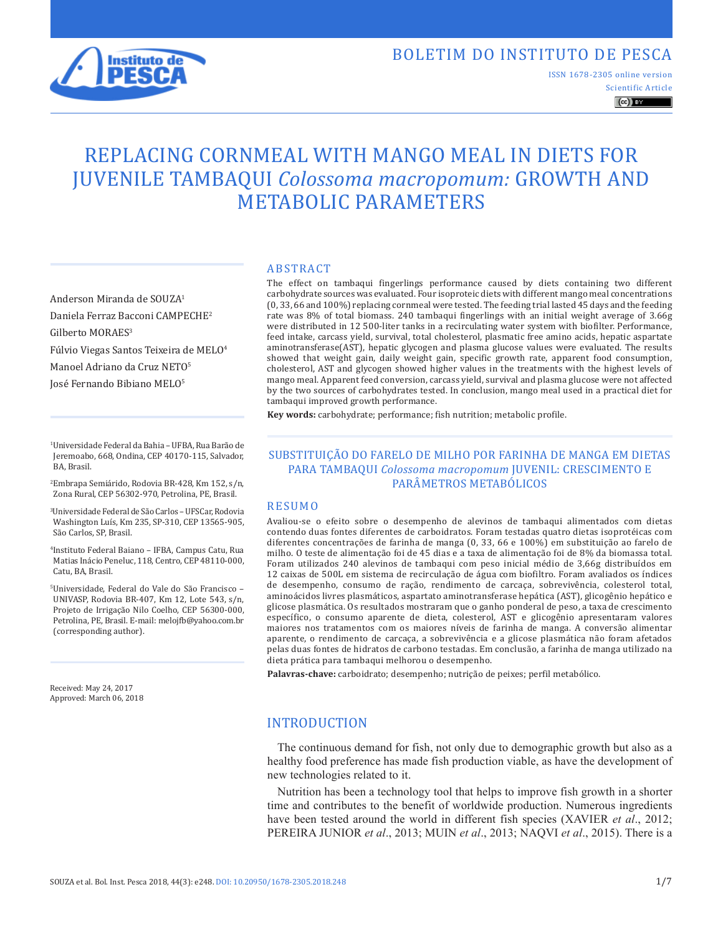

# BOLETIM DO INSTITUTO DE PESCA

Scientific Article ISSN 1678-2305 online version

 $\left(\mathrm{cc}\right)$  BY

# REPLACING CORNMEAL WITH MANGO MEAL IN DIETS FOR JUVENILE TAMBAQUI *Colossoma macropomum:* GROWTH AND METABOLIC PARAMETERS

Anderson Miranda de SOUZA1 Daniela Ferraz Bacconi CAMPECHE2 Gilberto MORAES<sup>3</sup>

Fúlvio Viegas Santos Teixeira de MELO<sup>4</sup>

Manoel Adriano da Cruz NETO5

José Fernando Bibiano MELO5

1 Universidade Federal da Bahia – UFBA, Rua Barão de Jeremoabo, 668, Ondina, CEP 40170-115, Salvador, BA, Brasil.

2 Embrapa Semiárido, Rodovia BR-428, Km 152, s/n, Zona Rural, CEP 56302-970, Petrolina, PE, Brasil.

3 Universidade Federal de São Carlos – UFSCar, Rodovia Washington Luís, Km 235, SP-310, CEP 13565-905, São Carlos, SP, Brasil.

4 Instituto Federal Baiano – IFBA, Campus Catu, Rua Matias Inácio Peneluc, 118, Centro, CEP 48110-000, Catu, BA, Brasil.

5 Universidade, Federal do Vale do São Francisco – UNIVASP, Rodovia BR-407, Km 12, Lote 543, s/n, Projeto de Irrigação Nilo Coelho, CEP 56300-000, Petrolina, PE, Brasil. E-mail: melojfb@yahoo.com.br (corresponding author).

Received: May 24, 2017 Approved: March 06, 2018

#### ABSTRACT

The effect on tambaqui fingerlings performance caused by diets containing two different carbohydrate sources was evaluated. Four isoproteic diets with different mango meal concentrations (0, 33, 66 and 100%) replacing cornmeal were tested. The feeding trial lasted 45 days and the feeding rate was 8% of total biomass. 240 tambaqui fingerlings with an initial weight average of 3.66g were distributed in 12 500-liter tanks in a recirculating water system with biofilter. Performance, feed intake, carcass yield, survival, total cholesterol, plasmatic free amino acids, hepatic aspartate aminotransferase(AST), hepatic glycogen and plasma glucose values were evaluated. The results showed that weight gain, daily weight gain, specific growth rate, apparent food consumption, cholesterol, AST and glycogen showed higher values in the treatments with the highest levels of mango meal. Apparent feed conversion, carcass yield, survival and plasma glucose were not affected by the two sources of carbohydrates tested. In conclusion, mango meal used in a practical diet for tambaqui improved growth performance.

**Key words:** carbohydrate; performance; fish nutrition; metabolic profile.

#### SUBSTITUIÇÃO DO FARELO DE MILHO POR FARINHA DE MANGA EM DIETAS PARA TAMBAQUI *Colossoma macropomum* JUVENIL: CRESCIMENTO E PARÂMETROS METABÓLICOS

#### RESUMO

Avaliou-se o efeito sobre o desempenho de alevinos de tambaqui alimentados com dietas contendo duas fontes diferentes de carboidratos. Foram testadas quatro dietas isoprotéicas com diferentes concentrações de farinha de manga (0, 33, 66 e 100%) em substituição ao farelo de milho. O teste de alimentação foi de 45 dias e a taxa de alimentação foi de 8% da biomassa total. Foram utilizados 240 alevinos de tambaqui com peso inicial médio de 3,66g distribuídos em 12 caixas de 500L em sistema de recirculação de água com biofiltro. Foram avaliados os índices de desempenho, consumo de ração, rendimento de carcaça, sobrevivência, colesterol total, aminoácidos livres plasmáticos, aspartato aminotransferase hepática (AST), glicogênio hepático e glicose plasmática. Os resultados mostraram que o ganho ponderal de peso, a taxa de crescimento específico, o consumo aparente de dieta, colesterol, AST e glicogênio apresentaram valores maiores nos tratamentos com os maiores níveis de farinha de manga. A conversão alimentar aparente, o rendimento de carcaça, a sobrevivência e a glicose plasmática não foram afetados pelas duas fontes de hidratos de carbono testadas. Em conclusão, a farinha de manga utilizado na dieta prática para tambaqui melhorou o desempenho.

**Palavras-chave:** carboidrato; desempenho; nutrição de peixes; perfil metabólico.

# INTRODUCTION

The continuous demand for fish, not only due to demographic growth but also as a healthy food preference has made fish production viable, as have the development of new technologies related to it.

Nutrition has been a technology tool that helps to improve fish growth in a shorter time and contributes to the benefit of worldwide production. Numerous ingredients have been tested around the world in different fish species (XAVIER *et al*., 2012; PEREIRA JUNIOR *et al*., 2013; MUIN *et al*., 2013; NAQVI *et al*., 2015). There is a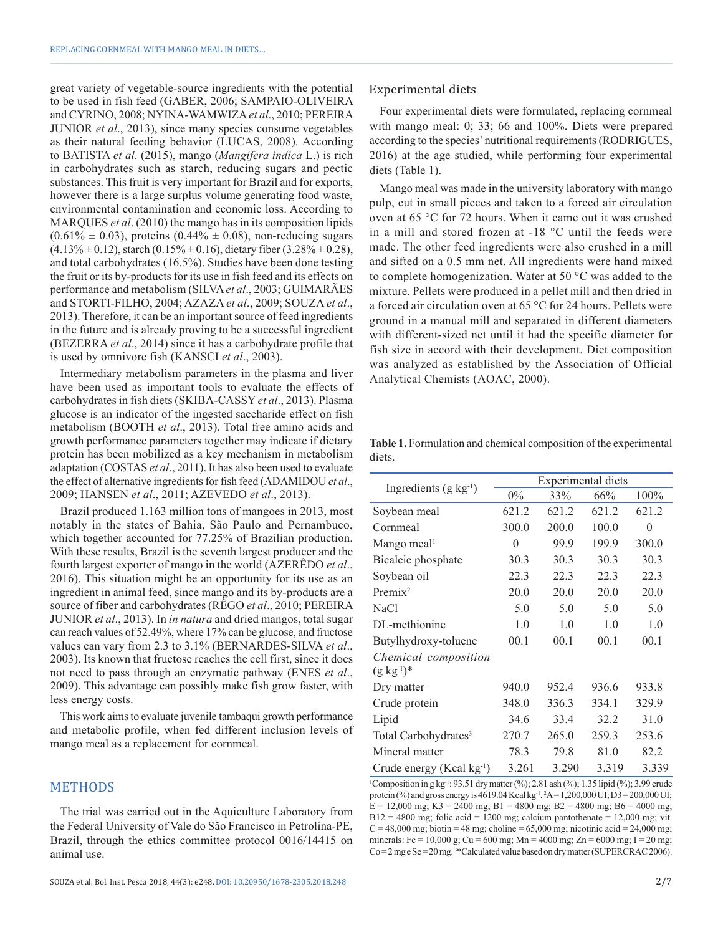great variety of vegetable-source ingredients with the potential to be used in fish feed (GABER, 2006; SAMPAIO-OLIVEIRA and CYRINO, 2008; NYINA-WAMWIZA*et al*., 2010; PEREIRA JUNIOR *et al*., 2013), since many species consume vegetables as their natural feeding behavior (LUCAS, 2008). According to BATISTA *et al*. (2015), mango (*Mangífera índica* L.) is rich in carbohydrates such as starch, reducing sugars and pectic substances. This fruit is very important for Brazil and for exports, however there is a large surplus volume generating food waste, environmental contamination and economic loss. According to MARQUES *et al*. (2010) the mango has in its composition lipids  $(0.61\% \pm 0.03)$ , proteins  $(0.44\% \pm 0.08)$ , non-reducing sugars  $(4.13\% \pm 0.12)$ , starch  $(0.15\% \pm 0.16)$ , dietary fiber  $(3.28\% \pm 0.28)$ , and total carbohydrates (16.5%). Studies have been done testing the fruit or its by-products for its use in fish feed and its effects on performance and metabolism (SILVA*et al*., 2003; GUIMARÃES and STORTI-FILHO, 2004; AZAZA *et al*., 2009; SOUZA *et al*., 2013). Therefore, it can be an important source of feed ingredients in the future and is already proving to be a successful ingredient (BEZERRA *et al*., 2014) since it has a carbohydrate profile that is used by omnivore fish (KANSCI *et al*., 2003).

Intermediary metabolism parameters in the plasma and liver have been used as important tools to evaluate the effects of carbohydrates in fish diets (SKIBA-CASSY *et al*., 2013). Plasma glucose is an indicator of the ingested saccharide effect on fish metabolism (BOOTH *et al*., 2013). Total free amino acids and growth performance parameters together may indicate if dietary protein has been mobilized as a key mechanism in metabolism adaptation (COSTAS *et al*., 2011). It has also been used to evaluate the effect of alternative ingredients for fish feed (ADAMIDOU *et al*., 2009; HANSEN *et al*., 2011; AZEVEDO *et al*., 2013).

Brazil produced 1.163 million tons of mangoes in 2013, most notably in the states of Bahia, São Paulo and Pernambuco, which together accounted for 77.25% of Brazilian production. With these results, Brazil is the seventh largest producer and the fourth largest exporter of mango in the world (AZERÊDO *et al*., 2016). This situation might be an opportunity for its use as an ingredient in animal feed, since mango and its by-products are a source of fiber and carbohydrates (RÊGO *et al*., 2010; PEREIRA JUNIOR *et al*., 2013). In *in natura* and dried mangos, total sugar can reach values of 52.49%, where 17% can be glucose, and fructose values can vary from 2.3 to 3.1% (BERNARDES-SILVA *et al*., 2003). Its known that fructose reaches the cell first, since it does not need to pass through an enzymatic pathway (ENES *et al*., 2009). This advantage can possibly make fish grow faster, with less energy costs.

This work aims to evaluate juvenile tambaqui growth performance and metabolic profile, when fed different inclusion levels of mango meal as a replacement for cornmeal.

## METHODS

The trial was carried out in the Aquiculture Laboratory from the Federal University of Vale do São Francisco in Petrolina-PE, Brazil, through the ethics committee protocol 0016/14415 on animal use.

#### Experimental diets

Four experimental diets were formulated, replacing cornmeal with mango meal: 0; 33; 66 and 100%. Diets were prepared according to the species' nutritional requirements (RODRIGUES, 2016) at the age studied, while performing four experimental diets (Table 1).

Mango meal was made in the university laboratory with mango pulp, cut in small pieces and taken to a forced air circulation oven at 65 °C for 72 hours. When it came out it was crushed in a mill and stored frozen at -18 °C until the feeds were made. The other feed ingredients were also crushed in a mill and sifted on a 0.5 mm net. All ingredients were hand mixed to complete homogenization. Water at 50 °C was added to the mixture. Pellets were produced in a pellet mill and then dried in a forced air circulation oven at 65 °C for 24 hours. Pellets were ground in a manual mill and separated in different diameters with different-sized net until it had the specific diameter for fish size in accord with their development. Diet composition was analyzed as established by the Association of Official Analytical Chemists (AOAC, 2000).

**Table 1.** Formulation and chemical composition of the experimental diets.

|                                           | Experimental diets |       |       |          |  |
|-------------------------------------------|--------------------|-------|-------|----------|--|
| Ingredients $(g \ kg^{-1})$               | $0\%$              | 33%   | 66%   | 100%     |  |
| Soybean meal                              | 621.2              | 621.2 | 621.2 | 621.2    |  |
| Cornmeal                                  | 300.0              | 200.0 | 100.0 | $\Omega$ |  |
| Mango meal <sup>1</sup>                   | $\theta$           | 99.9  | 199.9 | 300.0    |  |
| Bicalcic phosphate                        | 30.3               | 30.3  | 30.3  | 30.3     |  |
| Soybean oil                               | 22.3               | 22.3  | 22.3  | 22.3     |  |
| $Premix^2$                                | 20.0               | 20.0  | 20.0  | 20.0     |  |
| <b>NaCl</b>                               | 5.0                | 5.0   | 5.0   | 5.0      |  |
| DL-methionine                             | 1.0                | 1.0   | 1.0   | 1.0      |  |
| Butylhydroxy-toluene                      | 00.1               | 00.1  | 00.1  | 00.1     |  |
| Chemical composition<br>$(g \ kg^{-1})^*$ |                    |       |       |          |  |
| Dry matter                                | 940.0              | 952.4 | 936.6 | 933.8    |  |
| Crude protein                             | 348.0              | 336.3 | 334.1 | 329.9    |  |
| Lipid                                     | 34.6               | 33.4  | 32.2  | 31.0     |  |
| Total Carbohydrates <sup>3</sup>          | 270.7              | 265.0 | 259.3 | 253.6    |  |
| Mineral matter                            | 78.3               | 79.8  | 81.0  | 82.2     |  |
| Crude energy (Kcal kg <sup>-1</sup> )     | 3.261              | 3.290 | 3.319 | 3.339    |  |

<sup>1</sup>Composition in g kg<sup>-1</sup>: 93.51 dry matter (%); 2.81 ash (%); 1.35 lipid (%); 3.99 crude protein (%) and gross energy is 4619.04 Kcal kg<sup>-1</sup>. <sup>2</sup>A=1,200,000 UI; D3 = 200,000 UI;  $E = 12,000$  mg; K3 = 2400 mg; B1 = 4800 mg; B2 = 4800 mg; B6 = 4000 mg;  $B12 = 4800$  mg; folic acid = 1200 mg; calcium pantothenate = 12,000 mg; vit.  $C = 48,000$  mg; biotin = 48 mg; choline = 65,000 mg; nicotinic acid = 24,000 mg; minerals: Fe = 10,000 g; Cu = 600 mg; Mn = 4000 mg; Zn = 6000 mg; I = 20 mg; Co = 2 mg e Se = 20 mg.<sup>3\*</sup>Calculated value based on dry matter (SUPERCRAC 2006).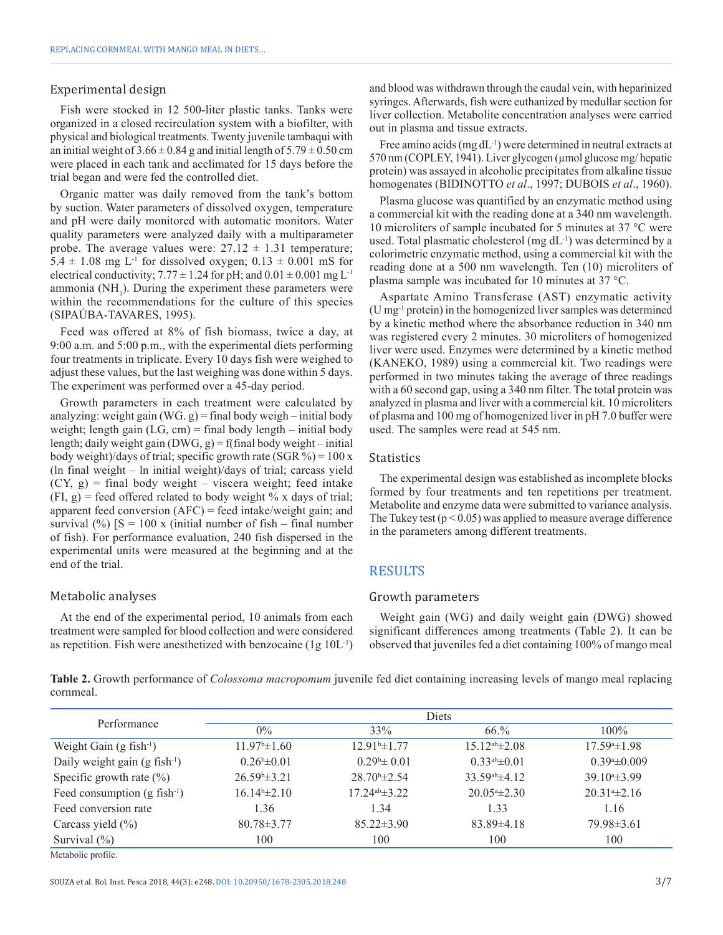#### Experimental design

Fish were stocked in 12 500-liter plastic tanks. Tanks were organized in a closed recirculation system with a biofilter, with physical and biological treatments. Twenty juvenile tambaqui with an initial weight of  $3.66 \pm 0.84$  g and initial length of  $5.79 \pm 0.50$  cm were placed in each tank and acclimated for 15 days before the trial began and were fed the controlled diet.

Organic matter was daily removed from the tank's bottom by suction. Water parameters of dissolved oxygen, temperature and pH were daily monitored with automatic monitors. Water quality parameters were analyzed daily with a multiparameter probe. The average values were:  $27.12 \pm 1.31$  temperature; 5.4  $\pm$  1.08 mg L<sup>-1</sup> for dissolved oxygen; 0.13  $\pm$  0.001 mS for electrical conductivity;  $7.77 \pm 1.24$  for pH; and  $0.01 \pm 0.001$  mg L<sup>-1</sup> ammonia (NH<sub>3</sub>). During the experiment these parameters were within the recommendations for the culture of this species (SIPAÚBA-TAVARES, 1995).

Feed was offered at 8% of fish biomass, twice a day, at 9:00 a.m. and 5:00 p.m., with the experimental diets performing four treatments in triplicate. Every 10 days fish were weighed to adjust these values, but the last weighing was done within 5 days. The experiment was performed over a 45-day period.

Growth parameters in each treatment were calculated by analyzing: weight gain (WG. g) = final body weigh – initial body weight; length gain  $(LG, cm)$  = final body length – initial body length; daily weight gain (DWG, g) = f(final body weight – initial body weight)/days of trial; specific growth rate (SGR %) = 100 x (ln final weight – ln initial weight)/days of trial; carcass yield  $(CY, g)$  = final body weight – viscera weight; feed intake  $(FI, g)$  = feed offered related to body weight % x days of trial; apparent feed conversion (AFC) = feed intake/weight gain; and survival (%)  $[S = 100 \text{ x} \text{ (initial number of fish} - \text{final number})]$ of fish). For performance evaluation, 240 fish dispersed in the experimental units were measured at the beginning and at the end of the trial.

#### Metabolic analyses

At the end of the experimental period, 10 animals from each treatment were sampled for blood collection and were considered as repetition. Fish were anesthetized with benzocaine  $(1g 10L^{-1})$  and blood was withdrawn through the caudal vein, with heparinized syringes. Afterwards, fish were euthanized by medullar section for liver collection. Metabolite concentration analyses were carried out in plasma and tissue extracts.

Free amino acids (mg dL<sup>-1</sup>) were determined in neutral extracts at 570 nm (COPLEY, 1941). Liver glycogen (µmol glucose mg/ hepatic protein) was assayed in alcoholic precipitates from alkaline tissue homogenates (BIDINOTTO *et al*., 1997; DUBOIS *et al*., 1960).

Plasma glucose was quantified by an enzymatic method using a commercial kit with the reading done at a 340 nm wavelength. 10 microliters of sample incubated for 5 minutes at 37 °C were used. Total plasmatic cholesterol (mg dL-1) was determined by a colorimetric enzymatic method, using a commercial kit with the reading done at a 500 nm wavelength. Ten (10) microliters of plasma sample was incubated for 10 minutes at 37 °C.

Aspartate Amino Transferase (AST) enzymatic activity (U mg-1 protein) in the homogenized liver samples was determined by a kinetic method where the absorbance reduction in 340 nm was registered every 2 minutes. 30 microliters of homogenized liver were used. Enzymes were determined by a kinetic method (KANEKO, 1989) using a commercial kit. Two readings were performed in two minutes taking the average of three readings with a 60 second gap, using a 340 nm filter. The total protein was analyzed in plasma and liver with a commercial kit. 10 microliters of plasma and 100 mg of homogenized liver in pH 7.0 buffer were used. The samples were read at 545 nm.

#### **Statistics**

The experimental design was established as incomplete blocks formed by four treatments and ten repetitions per treatment. Metabolite and enzyme data were submitted to variance analysis. The Tukey test  $(p < 0.05)$  was applied to measure average difference in the parameters among different treatments.

# RESULTS

#### Growth parameters

Weight gain (WG) and daily weight gain (DWG) showed significant differences among treatments (Table 2). It can be observed that juveniles fed a diet containing 100% of mango meal

**Table 2.** Growth performance of *Colossoma macropomum* juvenile fed diet containing increasing levels of mango meal replacing cornmeal.

| Performance                                 | <b>Diets</b>             |                        |                       |                      |  |  |
|---------------------------------------------|--------------------------|------------------------|-----------------------|----------------------|--|--|
|                                             | $0\%$                    | 33%                    | 66.%                  | 100%                 |  |  |
| Weight Gain $(g$ fish <sup>-1</sup> )       | $11.97^{\circ}$ ±1.60    | $12.91b\pm 1.77$       | $15.12^{ab} \pm 2.08$ | $17.59* \pm 1.98$    |  |  |
| Daily weight gain $(g$ fish <sup>-1</sup> ) | $0.26^{\rm b} \pm 0.01$  | $0.29^{\circ}$ ± 0.01  | $0.33^{ab} \pm 0.01$  | $0.39*+0.009$        |  |  |
| Specific growth rate $(\%)$                 | $26.59^{\circ} \pm 3.21$ | $28.70^{\circ}$ ± 2.54 | $33.59^{ab} \pm 4.12$ | $39.10^{a} \pm 3.99$ |  |  |
| Feed consumption $(g$ fish <sup>-1</sup> )  | $16.14b\pm2.10$          | $17.24^{ab} \pm 3.22$  | $20.054 \pm 2.30$     | $20.314 \pm 2.16$    |  |  |
| Feed conversion rate                        | 1.36                     | 1.34                   | 1.33                  | 1.16                 |  |  |
| Carcass yield $(\% )$                       | $80.78 \pm 3.77$         | $85.22 \pm 3.90$       | $83.89\pm4.18$        | $79.98 \pm 3.61$     |  |  |
| Survival $(\% )$                            | 100                      | 100                    | 100                   | 100                  |  |  |
| Metabolic profile.                          |                          |                        |                       |                      |  |  |

SOUZA et al. Bol. Inst. Pesca 2018, 44(3): e248. DOI: 10.20950/1678-2305.2018.248 3/7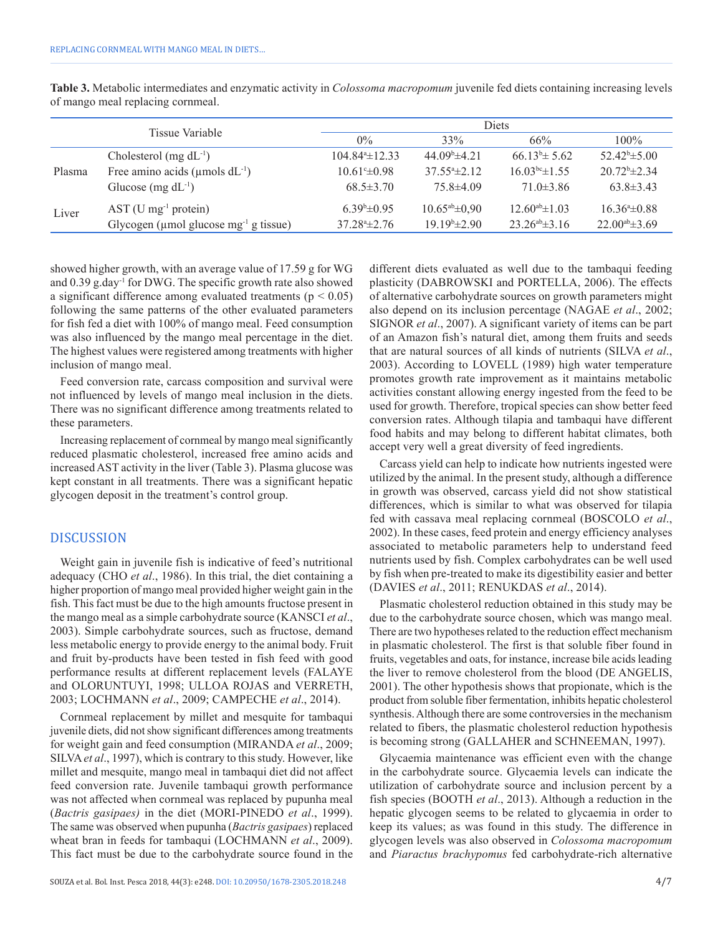| Tissue Variable |                                                         | Diets                      |                            |                       |                       |  |
|-----------------|---------------------------------------------------------|----------------------------|----------------------------|-----------------------|-----------------------|--|
|                 |                                                         | $0\%$                      | 33%                        | 66%                   | $100\%$               |  |
| Plasma          | Cholesterol (mg $dL^{-1}$ )                             | $104.84^{\circ} \pm 12.33$ | $44.09^{\circ}$ $\pm 4.21$ | $66.13^b \pm 5.62$    | $52.42^b \pm 5.00$    |  |
|                 | Free amino acids ( $\mu$ mols dL <sup>-1</sup> )        | $10.61^{\circ} \pm 0.98$   | $37.554 \pm 2.12$          | $16.03bc\pm 1.55$     | $20.72^b \pm 2.34$    |  |
|                 | Glucose (mg $dL^{-1}$ )                                 | $68.5 \pm 3.70$            | $75.8\pm4.09$              | $71.0 \pm 3.86$       | $63.8 \pm 3.43$       |  |
| Liver           | $AST$ (U mg <sup>-1</sup> protein)                      | $6.39*+0.95$               | $10.65^{ab} \pm 0.90$      | $12.60^{ab} \pm 1.03$ | $16.364 \pm 0.88$     |  |
|                 | Glycogen ( $\mu$ mol glucose mg <sup>-1</sup> g tissue) | $37.28 \pm 2.76$           | $19.19b\pm2.90$            | $23.26^{ab} \pm 3.16$ | $22.00^{ab} \pm 3.69$ |  |

**Table 3.** Metabolic intermediates and enzymatic activity in *Colossoma macropomum* juvenile fed diets containing increasing levels of mango meal replacing cornmeal.

showed higher growth, with an average value of 17.59 g for WG and 0.39 g.day-1 for DWG. The specific growth rate also showed a significant difference among evaluated treatments ( $p < 0.05$ ) following the same patterns of the other evaluated parameters for fish fed a diet with 100% of mango meal. Feed consumption was also influenced by the mango meal percentage in the diet. The highest values were registered among treatments with higher inclusion of mango meal.

Feed conversion rate, carcass composition and survival were not influenced by levels of mango meal inclusion in the diets. There was no significant difference among treatments related to these parameters.

Increasing replacement of cornmeal by mango meal significantly reduced plasmatic cholesterol, increased free amino acids and increased AST activity in the liver (Table 3). Plasma glucose was kept constant in all treatments. There was a significant hepatic glycogen deposit in the treatment's control group.

### DISCUSSION

Weight gain in juvenile fish is indicative of feed's nutritional adequacy (CHO *et al*., 1986). In this trial, the diet containing a higher proportion of mango meal provided higher weight gain in the fish. This fact must be due to the high amounts fructose present in the mango meal as a simple carbohydrate source (KANSCI *et al*., 2003). Simple carbohydrate sources, such as fructose, demand less metabolic energy to provide energy to the animal body. Fruit and fruit by-products have been tested in fish feed with good performance results at different replacement levels (FALAYE and OLORUNTUYI, 1998; ULLOA ROJAS and VERRETH, 2003; LOCHMANN *et al*., 2009; CAMPECHE *et al*., 2014).

Cornmeal replacement by millet and mesquite for tambaqui juvenile diets, did not show significant differences among treatments for weight gain and feed consumption (MIRANDA *et al*., 2009; SILVA*et al*., 1997), which is contrary to this study. However, like millet and mesquite, mango meal in tambaqui diet did not affect feed conversion rate. Juvenile tambaqui growth performance was not affected when cornmeal was replaced by pupunha meal (*Bactris gasipaes)* in the diet (MORI-PINEDO *et al*., 1999). The same was observed when pupunha (*Bactris gasipaes*) replaced wheat bran in feeds for tambaqui (LOCHMANN *et al*., 2009). This fact must be due to the carbohydrate source found in the

also depend on its inclusion percentage (NAGAE *et al*., 2002; SIGNOR *et al*., 2007). A significant variety of items can be part of an Amazon fish's natural diet, among them fruits and seeds that are natural sources of all kinds of nutrients (SILVA *et al*., 2003). According to LOVELL (1989) high water temperature promotes growth rate improvement as it maintains metabolic activities constant allowing energy ingested from the feed to be used for growth. Therefore, tropical species can show better feed conversion rates. Although tilapia and tambaqui have different food habits and may belong to different habitat climates, both accept very well a great diversity of feed ingredients. Carcass yield can help to indicate how nutrients ingested were utilized by the animal. In the present study, although a difference

different diets evaluated as well due to the tambaqui feeding plasticity (DABROWSKI and PORTELLA, 2006). The effects of alternative carbohydrate sources on growth parameters might

in growth was observed, carcass yield did not show statistical differences, which is similar to what was observed for tilapia fed with cassava meal replacing cornmeal (BOSCOLO *et al*., 2002). In these cases, feed protein and energy efficiency analyses associated to metabolic parameters help to understand feed nutrients used by fish. Complex carbohydrates can be well used by fish when pre-treated to make its digestibility easier and better (DAVIES *et al*., 2011; RENUKDAS *et al*., 2014).

Plasmatic cholesterol reduction obtained in this study may be due to the carbohydrate source chosen, which was mango meal. There are two hypotheses related to the reduction effect mechanism in plasmatic cholesterol. The first is that soluble fiber found in fruits, vegetables and oats, for instance, increase bile acids leading the liver to remove cholesterol from the blood (DE ANGELIS, 2001). The other hypothesis shows that propionate, which is the product from soluble fiber fermentation, inhibits hepatic cholesterol synthesis. Although there are some controversies in the mechanism related to fibers, the plasmatic cholesterol reduction hypothesis is becoming strong (GALLAHER and SCHNEEMAN, 1997).

Glycaemia maintenance was efficient even with the change in the carbohydrate source. Glycaemia levels can indicate the utilization of carbohydrate source and inclusion percent by a fish species (BOOTH *et al*., 2013). Although a reduction in the hepatic glycogen seems to be related to glycaemia in order to keep its values; as was found in this study. The difference in glycogen levels was also observed in *Colossoma macropomum* and *Piaractus brachypomus* fed carbohydrate-rich alternative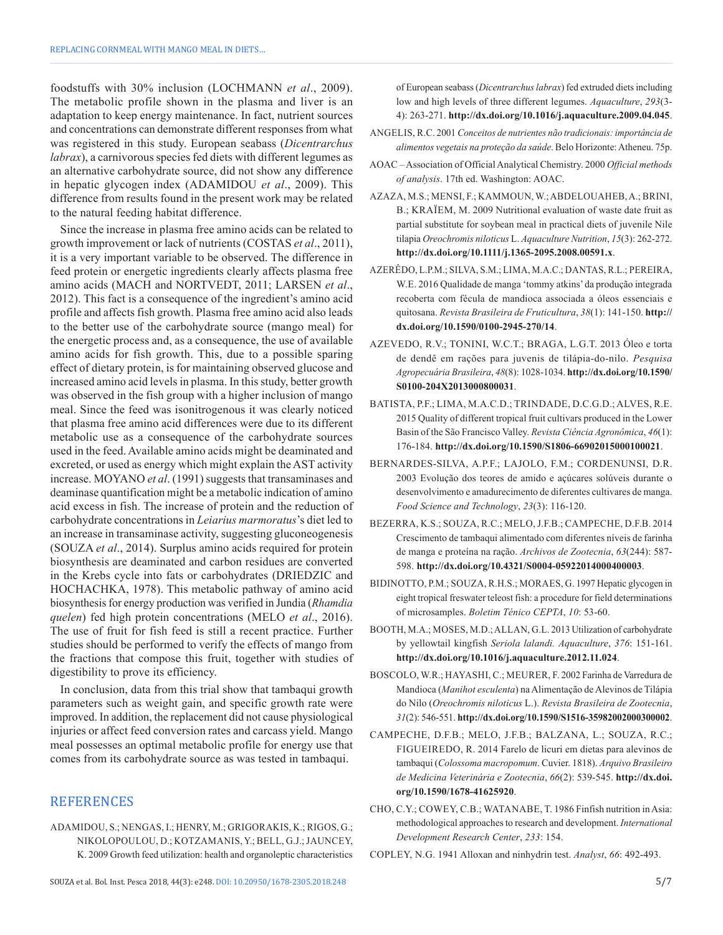foodstuffs with 30% inclusion (LOCHMANN *et al*., 2009). The metabolic profile shown in the plasma and liver is an adaptation to keep energy maintenance. In fact, nutrient sources and concentrations can demonstrate different responses from what was registered in this study. European seabass (*Dicentrarchus labrax*), a carnivorous species fed diets with different legumes as an alternative carbohydrate source, did not show any difference in hepatic glycogen index (ADAMIDOU *et al*., 2009). This difference from results found in the present work may be related to the natural feeding habitat difference.

Since the increase in plasma free amino acids can be related to growth improvement or lack of nutrients (COSTAS *et al*., 2011), it is a very important variable to be observed. The difference in feed protein or energetic ingredients clearly affects plasma free amino acids (MACH and NORTVEDT, 2011; LARSEN *et al*., 2012). This fact is a consequence of the ingredient's amino acid profile and affects fish growth. Plasma free amino acid also leads to the better use of the carbohydrate source (mango meal) for the energetic process and, as a consequence, the use of available amino acids for fish growth. This, due to a possible sparing effect of dietary protein, is for maintaining observed glucose and increased amino acid levels in plasma. In this study, better growth was observed in the fish group with a higher inclusion of mango meal. Since the feed was isonitrogenous it was clearly noticed that plasma free amino acid differences were due to its different metabolic use as a consequence of the carbohydrate sources used in the feed. Available amino acids might be deaminated and excreted, or used as energy which might explain the AST activity increase. MOYANO *et al*. (1991) suggests that transaminases and deaminase quantification might be a metabolic indication of amino acid excess in fish. The increase of protein and the reduction of carbohydrate concentrations in *Leiarius marmoratus*'s diet led to an increase in transaminase activity, suggesting gluconeogenesis (SOUZA *et al*., 2014). Surplus amino acids required for protein biosynthesis are deaminated and carbon residues are converted in the Krebs cycle into fats or carbohydrates (DRIEDZIC and HOCHACHKA, 1978). This metabolic pathway of amino acid biosynthesis for energy production was verified in Jundia (*Rhamdia quelen*) fed high protein concentrations (MELO *et al*., 2016). The use of fruit for fish feed is still a recent practice. Further studies should be performed to verify the effects of mango from the fractions that compose this fruit, together with studies of digestibility to prove its efficiency.

In conclusion, data from this trial show that tambaqui growth parameters such as weight gain, and specific growth rate were improved. In addition, the replacement did not cause physiological injuries or affect feed conversion rates and carcass yield. Mango meal possesses an optimal metabolic profile for energy use that comes from its carbohydrate source as was tested in tambaqui.

# **REFERENCES**

ADAMIDOU, S.; NENGAS, I.; HENRY, M.; GRIGORAKIS, K.; RIGOS, G.; NIKOLOPOULOU, D.; KOTZAMANIS, Y.; BELL, G.J.; JAUNCEY, K. 2009 Growth feed utilization: health and organoleptic characteristics

of European seabass (*Dicentrarchus labrax*) fed extruded diets including low and high levels of three different legumes. *Aquaculture*, *293*(3- 4): 263-271. **[http://dx.doi.org/10.1016/j.aquaculture.2009.04.045](https://doi.org/10.1016/j.aquaculture.2009.04.045)**.

- ANGELIS, R.C. 2001 *Conceitos de nutrientes não tradicionais: importância de alimentos vegetais na proteção da saúde*. Belo Horizonte: Atheneu. 75p.
- AOAC Association of Official Analytical Chemistry. 2000 *Official methods of analysis*. 17th ed. Washington: AOAC.
- AZAZA, M.S.; MENSI, F.; KAMMOUN, W.; ABDELOUAHEB, A.; BRINI, B.; KRAÏEM, M. 2009 Nutritional evaluation of waste date fruit as partial substitute for soybean meal in practical diets of juvenile Nile tilapia *Oreochromis niloticus* L. *Aquaculture Nutrition*, *15*(3): 262-272. **[http://dx.doi.org/10.1111/j.1365-2095.2008.00591.x](https://doi.org/10.1111/j.1365-2095.2008.00591.x)**.
- AZERÊDO, L.P.M.; SILVA, S.M.; LIMA, M.A.C.; DANTAS, R.L.; PEREIRA, W.E. 2016 Qualidade de manga 'tommy atkins' da produção integrada recoberta com fécula de mandioca associada a óleos essenciais e quitosana. *Revista Brasileira de Fruticultura*, *38*(1): 141-150. **[http://](https://doi.org/10.1590/0100-2945-270/14) [dx.doi.org/10.1590/0100-2945-270/14](https://doi.org/10.1590/0100-2945-270/14)**.
- AZEVEDO, R.V.; TONINI, W.C.T.; BRAGA, L.G.T. 2013 Óleo e torta de dendê em rações para juvenis de tilápia-do-nilo. *Pesquisa Agropecuária Brasileira*, *48*(8): 1028-1034. **[http://dx.doi.org/10.1590/](https://doi.org/10.1590/S0100-204X2013000800031) [S0100-204X2013000800031](https://doi.org/10.1590/S0100-204X2013000800031)**.
- BATISTA, P.F.; LIMA, M.A.C.D.; TRINDADE, D.C.G.D.; ALVES, R.E. 2015 Quality of different tropical fruit cultivars produced in the Lower Basin of the São Francisco Valley. *Revista Ciência Agronômica*, *46*(1): 176-184. **[http://dx.doi.org/10.1590/S1806-66902015000100021](https://doi.org/10.1590/S1806-66902015000100021)**.
- BERNARDES-SILVA, A.P.F.; LAJOLO, F.M.; CORDENUNSI, D.R. 2003 Evolução dos teores de amido e açúcares solúveis durante o desenvolvimento e amadurecimento de diferentes cultivares de manga. *Food Science and Technology*, *23*(3): 116-120.
- BEZERRA, K.S.; SOUZA, R.C.; MELO, J.F.B.; CAMPECHE, D.F.B. 2014 Crescimento de tambaqui alimentado com diferentes níveis de farinha de manga e proteína na ração. *Archivos de Zootecnia*, *63*(244): 587- 598. **[http://dx.doi.org/10.4321/S0004-05922014000400003](https://doi.org/10.4321/S0004-05922014000400003)**.
- BIDINOTTO, P.M.; SOUZA, R.H.S.; MORAES, G. 1997 Hepatic glycogen in eight tropical freswater teleost fish: a procedure for field determinations of microsamples. *Boletim Ténico CEPTA*, *10*: 53-60.
- BOOTH, M.A.; MOSES, M.D.; ALLAN, G.L. 2013 Utilization of carbohydrate by yellowtail kingfish *Seriola lalandi. Aquaculture*, *376*: 151-161. **[http://dx.doi.org/10.1016/j.aquaculture.2012.11.024](https://doi.org/10.1016/j.aquaculture.2012.11.024)**.
- BOSCOLO, W.R.; HAYASHI, C.; MEURER, F. 2002 Farinha de Varredura de Mandioca (*Manihot esculenta*) na Alimentação de Alevinos de Tilápia do Nilo (*Oreochromis niloticus* L.). *Revista Brasileira de Zootecnia*, *31*(2): 546-551. **[http://dx.doi.org/10.1590/S1516-35982002000300002](https://doi.org/10.1590/S1516-35982002000300002)**.
- CAMPECHE, D.F.B.; MELO, J.F.B.; BALZANA, L.; SOUZA, R.C.; FIGUEIREDO, R. 2014 Farelo de licuri em dietas para alevinos de tambaqui (*Colossoma macropomum*. Cuvier. 1818). *Arquivo Brasileiro de Medicina Veterinária e Zootecnia*, *66*(2): 539-545. **[http://dx.doi.](https://doi.org/10.1590/1678-41625920) [org/10.1590/1678-41625920](https://doi.org/10.1590/1678-41625920)**.
- CHO, C.Y.; COWEY, C.B.; WATANABE, T. 1986 Finfish nutrition in Asia: methodological approaches to research and development. *International Development Research Center*, *233*: 154.
- COPLEY, N.G. 1941 Alloxan and ninhydrin test. *Analyst*, *66*: 492-493.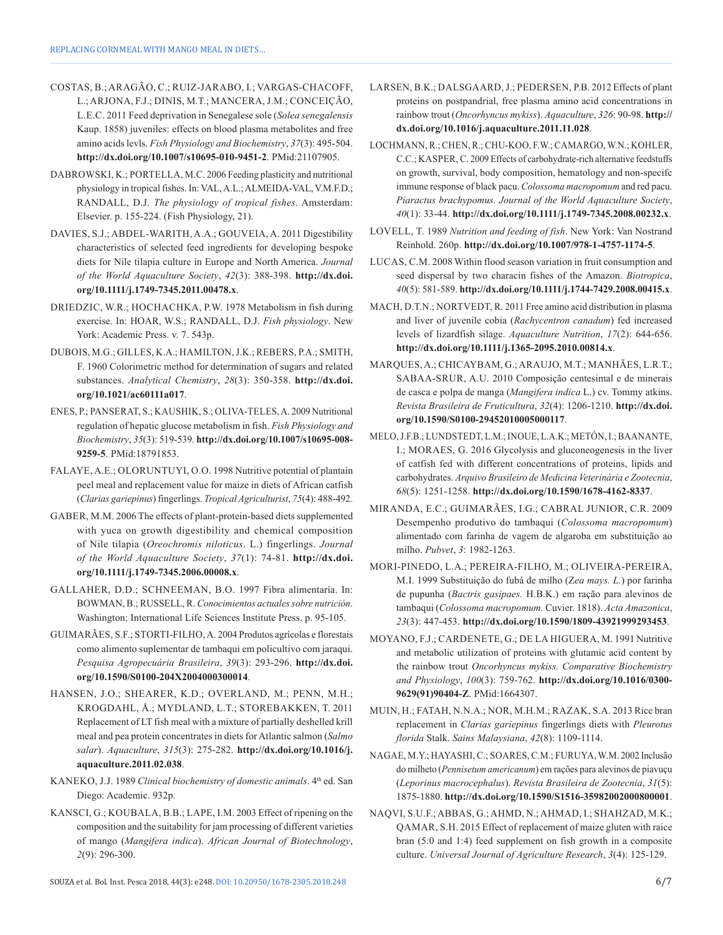- COSTAS, B.; ARAGÃO, C.; RUIZ-JARABO, I.; VARGAS-CHACOFF, L.; ARJONA, F.J.; DINIS, M.T.; MANCERA, J.M.; CONCEIÇÃO, L.E.C. 2011 Feed deprivation in Senegalese sole (*Solea senegalensis* Kaup. 1858) juveniles: effects on blood plasma metabolites and free amino acids levls. *Fish Physiology and Biochemistry*, *37*(3): 495-504. **[http://dx.doi.org/10.1007/s10695-010-9451-2](https://doi.org/10.1007/s10695-010-9451-2)**[. PMid:21107905.](https://www.ncbi.nlm.nih.gov/entrez/query.fcgi?cmd=Retrieve&db=PubMed&list_uids=21107905&dopt=Abstract)
- DABROWSKI, K.; PORTELLA, M.C. 2006 Feeding plasticity and nutritional physiology in tropical fishes. In: VAL, A.L.; ALMEIDA-VAL, V.M.F.D.; RANDALL, D.J. *The physiology of tropical fishes*. Amsterdam: Elsevier. p. 155-224. (Fish Physiology, 21).
- DAVIES, S.J.; ABDEL-WARITH, A.A.; GOUVEIA, A. 2011 Digestibility characteristics of selected feed ingredients for developing bespoke diets for Nile tilapia culture in Europe and North America. *Journal of the World Aquaculture Society*, *42*(3): 388-398. **[http://dx.doi.](https://doi.org/10.1111/j.1749-7345.2011.00478.x) [org/10.1111/j.1749-7345.2011.00478.x](https://doi.org/10.1111/j.1749-7345.2011.00478.x)**.
- DRIEDZIC, W.R.; HOCHACHKA, P.W. 1978 Metabolism in fish during exercise. In: HOAR, W.S.; RANDALL, D.J. *Fish physiology*. New York: Academic Press. v. 7. 543p.
- DUBOIS, M.G.; GILLES, K.A.; HAMILTON, J.K.; REBERS, P.A.; SMITH, F. 1960 Colorimetric method for determination of sugars and related substances. *Analytical Chemistry*, *28*(3): 350-358. **[http://dx.doi.](https://doi.org/10.1021/ac60111a017) [org/10.1021/ac60111a017](https://doi.org/10.1021/ac60111a017)**.
- ENES, P.; PANSERAT, S.; KAUSHIK, S.; OLIVA-TELES, A. 2009 Nutritional regulation of hepatic glucose metabolism in fish. *Fish Physiology and Biochemistry*, *35*(3): 519-539. **[http://dx.doi.org/10.1007/s10695-008-](https://doi.org/10.1007/s10695-008-9259-5) [9259-5](https://doi.org/10.1007/s10695-008-9259-5)**. [PMid:18791853.](https://www.ncbi.nlm.nih.gov/entrez/query.fcgi?cmd=Retrieve&db=PubMed&list_uids=18791853&dopt=Abstract)
- FALAYE, A.E.; OLORUNTUYI, O.O. 1998 Nutritive potential of plantain peel meal and replacement value for maize in diets of African catfish (*Clarias gariepinus*) fingerlings. *Tropical Agriculturist*, *75*(4): 488-492.
- GABER, M.M. 2006 The effects of plant-protein-based diets supplemented with yuca on growth digestibility and chemical composition of Nile tilapia (*Oreochromis niloticus*. L.) fingerlings. *Journal of the World Aquaculture Society*, *37*(1): 74-81. **[http://dx.doi.](https://doi.org/10.1111/j.1749-7345.2006.00008.x) [org/10.1111/j.1749-7345.2006.00008.x](https://doi.org/10.1111/j.1749-7345.2006.00008.x)**.
- GALLAHER, D.D.; SCHNEEMAN, B.O. 1997 Fibra alimentaría. In: BOWMAN, B.; RUSSELL, R. *Conocimientos actuales sobre nutrición*. Washington: International Life Sciences Institute Press. p. 95-105.
- GUIMARÃES, S.F.; STORTI-FILHO, A. 2004 Produtos agrícolas e florestais como alimento suplementar de tambaqui em policultivo com jaraqui. *Pesquisa Agropecuária Brasileira*, *39*(3): 293-296. **[http://dx.doi.](https://doi.org/10.1590/S0100-204X2004000300014) [org/10.1590/S0100-204X2004000300014](https://doi.org/10.1590/S0100-204X2004000300014)**.
- HANSEN, J.O.; SHEARER, K.D.; OVERLAND, M.; PENN, M.H.; KROGDAHL, Å.; MYDLAND, L.T.; STOREBAKKEN, T. 2011 Replacement of LT fish meal with a mixture of partially deshelled krill meal and pea protein concentrates in diets for Atlantic salmon (*Salmo salar*). *Aquaculture*, *315*(3): 275-282. **[http://dx.doi.org/10.1016/j.](https://doi.org/10.1016/j.aquaculture.2011.02.038) [aquaculture.2011.02.038](https://doi.org/10.1016/j.aquaculture.2011.02.038)**.
- KANEKO, J.J. 1989 *Clinical biochemistry of domestic animals*. 4<sup>th</sup> ed. San Diego: Academic. 932p.
- KANSCI, G.; KOUBALA, B.B.; LAPE, I.M. 2003 Effect of ripening on the composition and the suitability for jam processing of different varieties of mango (*Mangifera indica*). *African Journal of Biotechnology*, *2*(9): 296-300.
- LARSEN, B.K.; DALSGAARD, J.; PEDERSEN, P.B. 2012 Effects of plant proteins on postpandrial, free plasma amino acid concentrations in rainbow trout (*Oncorhyncus mykiss*). *Aquaculture*, *326*: 90-98. **[http://](https://doi.org/10.1016/j.aquaculture.2011.11.028) [dx.doi.org/10.1016/j.aquaculture.2011.11.028](https://doi.org/10.1016/j.aquaculture.2011.11.028)**.
- LOCHMANN, R.; CHEN, R.; CHU-KOO, F.W.; CAMARGO, W.N.; KOHLER, C.C.; KASPER, C. 2009 Effects of carbohydrate-rich alternative feedstuffs on growth, survival, body composition, hematology and non-specifc immune response of black pacu. *Colossoma macropomum* and red pacu. *Piaractus brachypomus. Journal of the World Aquaculture Society*, *40*(1): 33-44. **[http://dx.doi.org/10.1111/j.1749-7345.2008.00232.x](https://doi.org/10.1111/j.1749-7345.2008.00232.x)**.
- LOVELL, T. 1989 *Nutrition and feeding of fish*. New York: Van Nostrand Reinhold. 260p. **[http://dx.doi.org/10.1007/978-1-4757-1174-5](https://doi.org/10.1007/978-1-4757-1174-5)**.
- LUCAS, C.M. 2008 Within flood season variation in fruit consumption and seed dispersal by two characin fishes of the Amazon. *Biotropica*, *40*(5): 581-589. **[http://dx.doi.org/10.1111/j.1744-7429.2008.00415.x](https://doi.org/10.1111/j.1744-7429.2008.00415.x)**.
- MACH, D.T.N.; NORTVEDT, R. 2011 Free amino acid distribution in plasma and liver of juvenile cobia (*Rachycentron canadum*) fed increased levels of lizardfish silage. *Aquaculture Nutrition*, *17*(2): 644-656. **[http://dx.doi.org/10.1111/j.1365-2095.2010.00814.x](https://doi.org/10.1111/j.1365-2095.2010.00814.x)**.
- MARQUES, A.; CHICAYBAM, G.; ARAUJO, M.T.; MANHÃES, L.R.T.; SABAA-SRUR, A.U. 2010 Composição centesimal e de minerais de casca e polpa de manga (*Mangifera indica* L.) cv. Tommy atkins. *Revista Brasileira de Fruticultura*, *32*(4): 1206-1210. **[http://dx.doi.](https://doi.org/10.1590/S0100-29452010005000117) [org/10.1590/S0100-29452010005000117](https://doi.org/10.1590/S0100-29452010005000117)**.
- MELO, J.F.B.; LUNDSTEDT, L.M.; INOUE, L.A.K.; METÓN, I.; BAANANTE, I.; MORAES, G. 2016 Glycolysis and gluconeogenesis in the liver of catfish fed with different concentrations of proteins, lipids and carbohydrates. *Arquivo Brasileiro de Medicina Veterinária e Zootecnia*, *68*(5): 1251-1258. **[http://dx.doi.org/10.1590/1678-4162-8337](https://doi.org/10.1590/1678-4162-8337)**.
- MIRANDA, E.C.; GUIMARÃES, I.G.; CABRAL JUNIOR, C.R. 2009 Desempenho produtivo do tambaqui (*Colossoma macropomum*) alimentado com farinha de vagem de algaroba em substituição ao milho. *Pubvet*, *3*: 1982-1263.
- MORI-PINEDO, L.A.; PEREIRA-FILHO, M.; OLIVEIRA-PEREIRA, M.I. 1999 Substituição do fubá de milho (Z*ea mays. L.*) por farinha de pupunha (*Bactris gasipaes.* H.B.K.) em ração para alevinos de tambaqui (*Colossoma macropomum.* Cuvier. 1818). *Acta Amazonica*, *23*(3): 447-453. **[http://dx.doi.org/10.1590/1809-43921999293453](https://doi.org/10.1590/1809-43921999293453)**.
- MOYANO, F.J.; CARDENETE, G.; DE LA HIGUERA, M. 1991 Nutritive and metabolic utilization of proteins with glutamic acid content by the rainbow trout *Oncorhyncus mykiss. Comparative Biochemistry and Physiology*, *100*(3): 759-762. **[http://dx.doi.org/10.1016/0300-](https://doi.org/10.1016/0300-9629(91)90404-Z) [9629\(91\)90404-Z](https://doi.org/10.1016/0300-9629(91)90404-Z)**[. PMid:1664307.](https://www.ncbi.nlm.nih.gov/entrez/query.fcgi?cmd=Retrieve&db=PubMed&list_uids=1664307&dopt=Abstract)
- MUIN, H.; FATAH, N.N.A.; NOR, M.H.M.; RAZAK, S.A. 2013 Rice bran replacement in *Clarias gariepinus* fingerlings diets with *Pleurotus florida* Stalk. *Sains Malaysiana*, *42*(8): 1109-1114.
- NAGAE, M.Y.; HAYASHI, C.; SOARES, C.M.; FURUYA, W.M. 2002 Inclusão do milheto (*Pennisetum americanum*) em rações para alevinos de piavuçu (*Leporinus macrocephalus*). *Revista Brasileira de Zootecnia*, *31*(5): 1875-1880. **[http://dx.doi.org/10.1590/S1516-35982002000800001](https://doi.org/10.1590/S1516-35982002000800001)**.
- NAQVI, S.U.F.; ABBAS, G.; AHMD, N.; AHMAD, I.; SHAHZAD, M.K.; QAMAR, S.H. 2015 Effect of replacement of maize gluten with raice bran (5:0 and 1:4) feed supplement on fish growth in a composite culture. *Universal Journal of Agriculture Research*, *3*(4): 125-129.